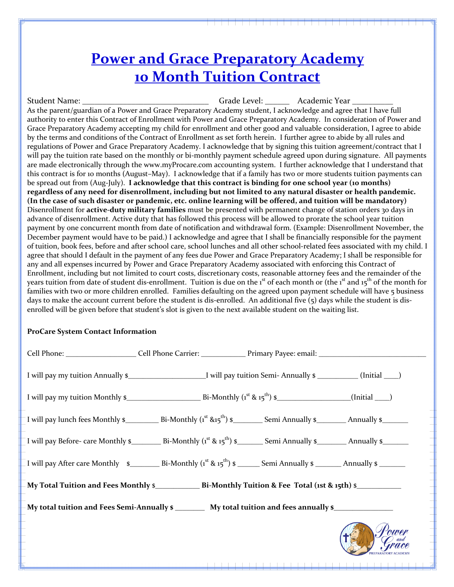Student Name: \_\_\_\_\_\_\_\_\_\_\_\_\_\_\_\_\_\_\_\_\_\_\_\_\_\_\_\_\_\_\_ Grade Level: \_\_\_\_\_\_ Academic Year \_\_\_\_\_\_\_\_\_\_ As the parent/guardian of a Power and Grace Preparatory Academy student, I acknowledge and agree that I have full authority to enter this Contract of Enrollment with Power and Grace Preparatory Academy. In consideration of Power and Grace Preparatory Academy accepting my child for enrollment and other good and valuable consideration, I agree to abide by the terms and conditions of the Contract of Enrollment as set forth herein. I further agree to abide by all rules and regulations of Power and Grace Preparatory Academy. I acknowledge that by signing this tuition agreement/contract that I will pay the tuition rate based on the monthly or bi-monthly payment schedule agreed upon during signature. All payments are made electronically through the www.myProcare.com accounting system. I further acknowledge that I understand that this contract is for 10 months (August–May). I acknowledge that if a family has two or more students tuition payments can be spread out from (Aug-July). I acknowledge that this contract is binding for one school year (10 months) regardless of any need for disenrollment, including but not limited to any natural disaster or health pandemic. (In the case of such disaster or pandemic, etc. online learning will be offered, and tuition will be mandatory) Disenrollment for **active-duty military families** must be presented with permanent change of station orders 30 days in advance of disenrollment. Active duty that has followed this process will be allowed to prorate the school year tuition payment by one concurrent month from date of notification and withdrawal form. (Example: Disenrollment November, the December payment would have to be paid.) I acknowledge and agree that I shall be financially responsible for the payment of tuition, book fees, before and after school care, school lunches and all other school-related fees associated with my child. I agree that should I default in the payment of any fees due Power and Grace Preparatory Academy; I shall be responsible for any and all expenses incurred by Power and Grace Preparatory Academy associated with enforcing this Contract of Enrollment, including but not limited to court costs, discretionary costs, reasonable attorney fees and the remainder of the years tuition from date of student dis-enrollment. Tuition is due on the  $1^{\text{st}}$  of each month or (the  $1^{\text{st}}$  and  $15^{\text{th}}$  of the month for families with two or more children enrolled. Families defaulting on the agreed upon payment schedule will have 5 business days to make the account current before the student is dis-enrolled. An additional five  $(5)$  days while the student is disenrolled will be given before that student's slot is given to the next available student on the waiting list.

### **ProCare System Contact Information**

| I will pay lunch fees Monthly $\sin x$ Bi-Monthly ( $i^{\text{st}} \sin 5^{\text{th}}$ ) $\sin x$ Semi Annually $\sin x$ Annually $\sin x$                                                  |  |
|---------------------------------------------------------------------------------------------------------------------------------------------------------------------------------------------|--|
| I will pay Before- care Monthly $\frac{\epsilon}{2}$ Bi-Monthly (1 <sup>st</sup> & 15 <sup>th</sup> ) $\frac{\epsilon}{2}$ Semi Annually $\frac{\epsilon}{2}$ Annually $\frac{\epsilon}{2}$ |  |
| I will pay After care Monthly $\sin x$ Bi-Monthly (1 <sup>st</sup> & 15 <sup>th</sup> ) $\sin x$ Semi Annually $\sin x$ Annually $\sin x$                                                   |  |
|                                                                                                                                                                                             |  |
| My total tuition and Fees Semi-Annually \$ __________ My total tuition and fees annually \$________________                                                                                 |  |
|                                                                                                                                                                                             |  |
|                                                                                                                                                                                             |  |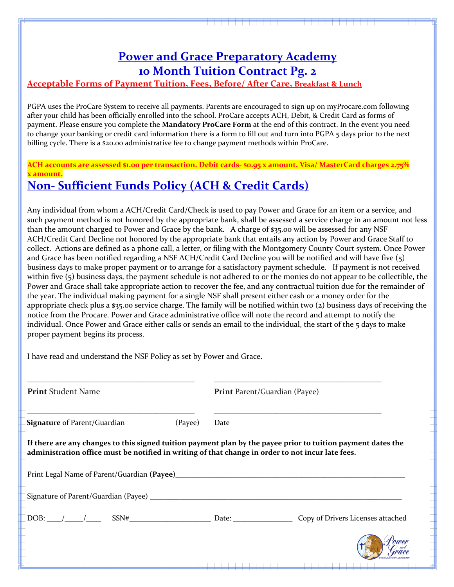### Acceptable Forms of Payment Tuition, Fees, Before/ After Care, Breakfast & Lunch

PGPA uses the ProCare System to receive all payments. Parents are encouraged to sign up on myProcare.com following after your child has been officially enrolled into the school. ProCare accepts ACH, Debit, & Credit Card as forms of payment. Please ensure you complete the **Mandatory ProCare Form** at the end of this contract. In the event you need to change your banking or credit card information there is a form to fill out and turn into PGPA 5 days prior to the next billing cycle. There is a \$20.00 administrative fee to change payment methods within ProCare.

**ACH accounts are assessed \$1.00 per transaction. Debit cards- \$0.95 x amount. Visa/ MasterCard charges 2.75% x amount. Non- Sufficient Funds Policy (ACH & Credit Cards)** 

Any individual from whom a ACH/Credit Card/Check is used to pay Power and Grace for an item or a service, and such payment method is not honored by the appropriate bank, shall be assessed a service charge in an amount not less than the amount charged to Power and Grace by the bank. A charge of \$35.00 will be assessed for any NSF ACH/Credit Card Decline not honored by the appropriate bank that entails any action by Power and Grace Staff to collect. Actions are defined as a phone call, a letter, or filing with the Montgomery County Court system. Once Power and Grace has been notified regarding a NSF ACH/Credit Card Decline you will be notified and will have five  $(5)$ business days to make proper payment or to arrange for a satisfactory payment schedule. If payment is not received within five  $(5)$  business days, the payment schedule is not adhered to or the monies do not appear to be collectible, the Power and Grace shall take appropriate action to recover the fee, and any contractual tuition due for the remainder of the year. The individual making payment for a single NSF shall present either cash or a money order for the appropriate check plus a \$35.00 service charge. The family will be notified within two (2) business days of receiving the notice from the Procare. Power and Grace administrative office will note the record and attempt to notify the individual. Once Power and Grace either calls or sends an email to the individual, the start of the 5 days to make proper payment begins its process.

I have read and understand the NSF Policy as set by Power and Grace.

**Print** Student Name **Print** Parent/Guardian (Payee)

**Signature** of Parent/Guardian (Payee) Date

\_\_\_\_\_\_\_\_\_\_\_\_\_\_\_\_\_\_\_\_\_\_\_\_\_\_\_\_\_\_\_\_\_\_\_\_\_\_\_\_\_\_\_ \_\_\_\_\_\_\_\_\_\_\_\_\_\_\_\_\_\_\_\_\_\_\_\_\_\_\_\_\_\_\_\_\_\_\_\_\_\_\_\_\_\_\_

\_\_\_\_\_\_\_\_\_\_\_\_\_\_\_\_\_\_\_\_\_\_\_\_\_\_\_\_\_\_\_\_\_\_\_\_\_\_\_\_\_\_\_ \_\_\_\_\_\_\_\_\_\_\_\_\_\_\_\_\_\_\_\_\_\_\_\_\_\_\_\_\_\_\_\_\_\_\_\_\_\_\_\_\_\_\_

If there are any changes to this signed tuition payment plan by the payee prior to tuition payment dates the administration office must be notified in writing of that change in order to not incur late fees.

Print Legal Name of Parent/Guardian **(Payee**)\_\_\_\_\_\_\_\_\_\_\_\_\_\_\_\_\_\_\_\_\_\_\_\_\_\_\_\_\_\_\_\_\_\_\_\_\_\_\_\_\_\_\_\_\_\_\_\_\_\_\_\_\_\_\_\_\_\_\_\_\_\_

Signature of Parent/Guardian (Payee) \_\_\_\_\_\_\_\_\_\_\_\_\_\_\_\_\_\_\_\_\_\_\_\_\_\_\_\_\_\_\_\_\_\_\_\_\_\_\_\_\_\_\_\_\_\_\_\_\_\_\_\_\_\_\_\_\_\_\_\_\_\_\_\_\_\_\_\_

DOB:  $\frac{1}{\sqrt{2}}$  SSN# SSN# Bate: Date: Copy of Drivers Licenses attached

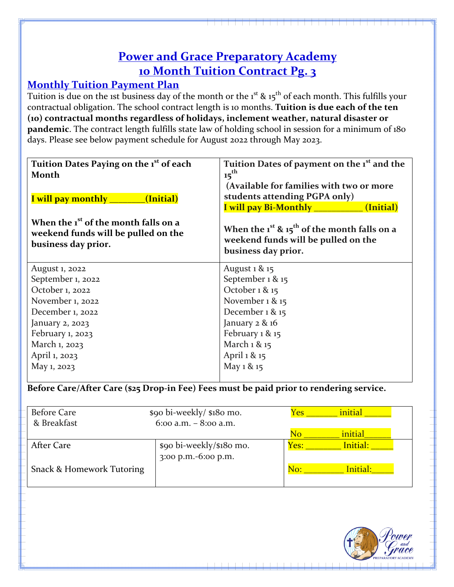## **Monthly Tuition Payment Plan**

Tuition is due on the 1st business day of the month or the  $1^{st}$  &  $15^{th}$  of each month. This fulfills your contractual obligation. The school contract length is 10 months. Tuition is due each of the ten **(10) contractual months regardless of holidays, inclement weather, natural disaster or pandemic**. The contract length fulfills state law of holding school in session for a minimum of 180 days. Please see below payment schedule for August 2022 through May 2023.

| Tuition Dates Paying on the 1 <sup>st</sup> of each<br>Month<br>(Initial)<br><u>I will pay monthly serve that</u><br>When the 1 <sup>st</sup> of the month falls on a<br>weekend funds will be pulled on the<br>business day prior. | Tuition Dates of payment on the 1 <sup>st</sup> and the<br>15 <sup>th</sup><br>(Available for families with two or more<br>students attending PGPA only)<br>I will pay Bi-Monthly __________<br>(Initial)<br>When the $1^{st}$ & $15^{th}$ of the month falls on a<br>weekend funds will be pulled on the<br>business day prior. |
|-------------------------------------------------------------------------------------------------------------------------------------------------------------------------------------------------------------------------------------|----------------------------------------------------------------------------------------------------------------------------------------------------------------------------------------------------------------------------------------------------------------------------------------------------------------------------------|
| August 1, 2022                                                                                                                                                                                                                      | August 1 & 15                                                                                                                                                                                                                                                                                                                    |
| September 1, 2022                                                                                                                                                                                                                   | September 1 & 15                                                                                                                                                                                                                                                                                                                 |
| October 1, 2022                                                                                                                                                                                                                     | October 1 & 15                                                                                                                                                                                                                                                                                                                   |
| November 1, 2022                                                                                                                                                                                                                    | November 1 & 15                                                                                                                                                                                                                                                                                                                  |
| December 1, 2022                                                                                                                                                                                                                    | December 1 & 15                                                                                                                                                                                                                                                                                                                  |
| January 2, 2023                                                                                                                                                                                                                     | January 2 & 16                                                                                                                                                                                                                                                                                                                   |
| February 1, 2023                                                                                                                                                                                                                    | February 1 & 15                                                                                                                                                                                                                                                                                                                  |
| March 1, 2023                                                                                                                                                                                                                       | March 1 & 15                                                                                                                                                                                                                                                                                                                     |
| April 1, 2023                                                                                                                                                                                                                       | April 1 & 15                                                                                                                                                                                                                                                                                                                     |
| May 1, 2023                                                                                                                                                                                                                         | May 1 & 15                                                                                                                                                                                                                                                                                                                       |

Before Care/After Care (\$25 Drop-in Fee) Fees must be paid prior to rendering service.

| <b>Before Care</b>        | \$90 bi-weekly/ \$180 mo. | <b>Yes</b> | initial  |  |
|---------------------------|---------------------------|------------|----------|--|
| & Breakfast               | 6:00 a.m. $-$ 8:00 a.m.   |            |          |  |
|                           |                           | No         | initial  |  |
| After Care                | \$90 bi-weekly/\$180 mo.  | Yes:       | Initial: |  |
|                           | 3:00 p.m.-6:00 p.m.       |            |          |  |
| Snack & Homework Tutoring |                           | No:        | Initial: |  |
|                           |                           |            |          |  |

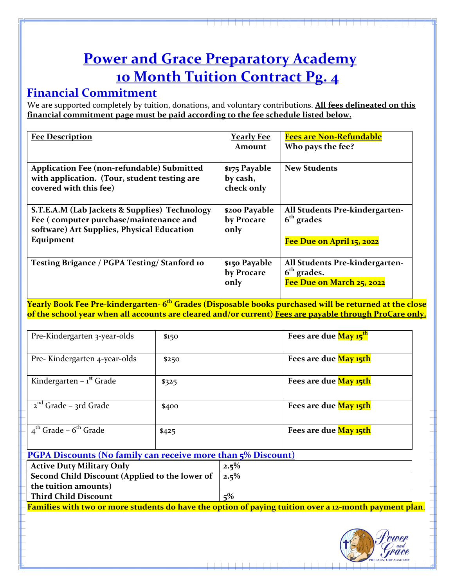## **Financial Commitment**

We are supported completely by tuition, donations, and voluntary contributions. **All fees delineated on this** financial commitment page must be paid according to the fee schedule listed below.

| <b>Fee Description</b>                                                                                                                             | <u>Yearly Fee</u><br>Amount             | <b>Fees are Non-Refundable</b><br>Who pays the fee?                          |
|----------------------------------------------------------------------------------------------------------------------------------------------------|-----------------------------------------|------------------------------------------------------------------------------|
| Application Fee (non-refundable) Submitted<br>with application. (Tour, student testing are<br>covered with this fee)                               | \$175 Payable<br>by cash,<br>check only | <b>New Students</b>                                                          |
| S.T.E.A.M (Lab Jackets & Supplies) Technology<br>Fee (computer purchase/maintenance and<br>software) Art Supplies, Physical Education<br>Equipment | \$200 Payable<br>by Procare<br>only     | All Students Pre-kindergarten-<br>$6th$ grades<br>Fee Due on April 15, 2022  |
| Testing Brigance / PGPA Testing/ Stanford 10                                                                                                       | \$150 Payable<br>by Procare<br>only     | All Students Pre-kindergarten-<br>$6th$ grades.<br>Fee Due on March 25, 2022 |

**<u>Yearly Book Fee Pre-kindergarten- 6<sup>th</sup> Grades (Disposable books purchased will be returned at the close**</u> of the school year when all accounts are cleared and/or current) Fees are payable through ProCare only.

| Pre-Kindergarten 3-year-olds                  | \$150 | Fees are due May 15 <sup>th</sup> |
|-----------------------------------------------|-------|-----------------------------------|
| Pre-Kindergarten 4-year-olds                  | \$250 | Fees are due May 15th             |
| Kindergarten – $1st$ Grade                    | \$325 | Fees are due May 15th             |
| $2nd$ Grade – 3rd Grade                       | \$400 | Fees are due May 15th             |
| $4^{\text{th}}$ Grade – $6^{\text{th}}$ Grade | \$425 | Fees are due May 15th             |

### **PGPA Discounts** (No family can receive more than  $\frac{6}{5}$  Discount)

| <b>Active Duty Military Only</b>                            | $2.5\%$ |
|-------------------------------------------------------------|---------|
| Second Child Discount (Applied to the lower of $\vert$ 2.5% |         |
| the tuition amounts)                                        |         |
| <b>Third Child Discount</b>                                 | $5\%$   |
|                                                             |         |

**Families with two or more students do have the option of paying tuition over a 12-month payment plan.** 

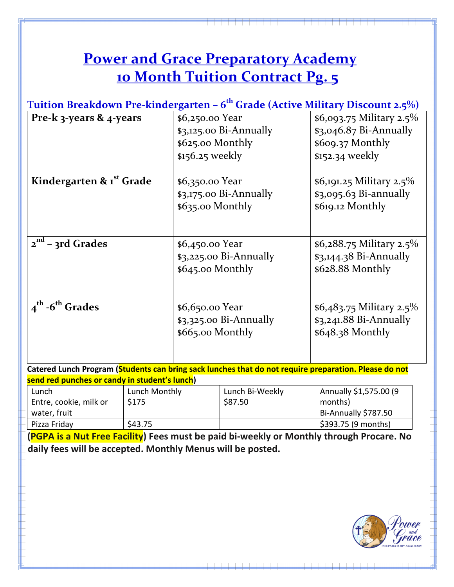**Tuition Breakdown Pre-kindergarten – 6th Grade (Active Military Discount 2.5%)**

| Pre-k 3-years & 4-years                 | \$6,250.00 Year<br>$$3,125.00$ Bi-Annually<br>\$625.00 Monthly<br>$$156.25$ weekly | \$6,093.75 Military 2.5%<br>$$3,046.87$ Bi-Annually<br>\$609.37 Monthly<br>\$152.34 weekly |
|-----------------------------------------|------------------------------------------------------------------------------------|--------------------------------------------------------------------------------------------|
| Kindergarten & 1st Grade                | \$6,350.00 Year<br>$$3,175.00$ Bi-Annually<br>\$635.00 Monthly                     | \$6,191.25 Military 2.5%<br>\$3,095.63 Bi-annually<br>\$619.12 Monthly                     |
| $2^{nd}$ – 3rd Grades                   | \$6,450.00 Year<br>$$3,225.00$ Bi-Annually<br>\$645.00 Monthly                     | \$6,288.75 Military 2.5%<br>$$3,144.38$ Bi-Annually<br>\$628.88 Monthly                    |
| $4^{\text{th}}$ -6 <sup>th</sup> Grades | \$6,650.00 Year<br>$$3,325.00$ Bi-Annually<br>\$665.00 Monthly                     | \$6,483.75 Military 2.5%<br>$$3,241.88$ Bi-Annually<br>$$648.38$ Monthly                   |

**Catered Lunch Program (Students can bring sack lunches that do not require preparation. Please do not send red punches or candy in student's lunch)** 

| Lunch                  | Lunch Monthly | Lunch Bi-Weekly | Annually \$1,575.00 (9 |
|------------------------|---------------|-----------------|------------------------|
| Entre, cookie, milk or | \$175         | \$87.50         | months)                |
| water, fruit           |               |                 | Bi-Annually \$787.50   |
| Pizza Friday           | \$43.75       |                 | \$393.75 (9 months)    |

**(PGPA is a Nut Free Facility) Fees must be paid bi-weekly or Monthly through Procare. No daily fees will be accepted. Monthly Menus will be posted.**

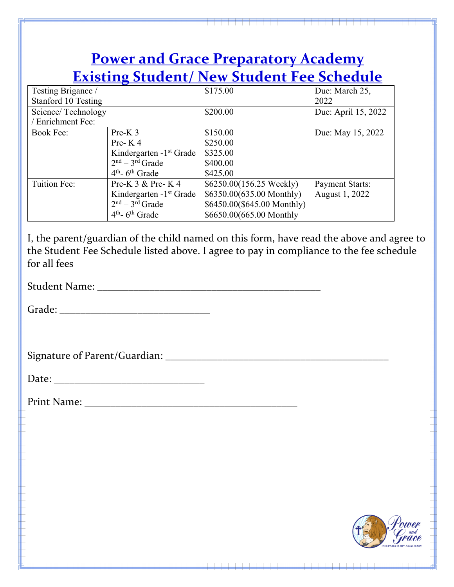|                                           |                                                                                                                                                                                                                                                                                                                                                                                                                                                                                                                                        | <b>Power and Grace Preparatory Academy</b>                                                                       |                                          |
|-------------------------------------------|----------------------------------------------------------------------------------------------------------------------------------------------------------------------------------------------------------------------------------------------------------------------------------------------------------------------------------------------------------------------------------------------------------------------------------------------------------------------------------------------------------------------------------------|------------------------------------------------------------------------------------------------------------------|------------------------------------------|
|                                           |                                                                                                                                                                                                                                                                                                                                                                                                                                                                                                                                        | <b>Existing Student/ New Student Fee Schedule</b>                                                                |                                          |
| Testing Brigance /<br>Stanford 10 Testing |                                                                                                                                                                                                                                                                                                                                                                                                                                                                                                                                        | \$175.00                                                                                                         | Due: March 25,<br>2022                   |
| Science/Technology<br>/ Enrichment Fee:   |                                                                                                                                                                                                                                                                                                                                                                                                                                                                                                                                        | \$200.00                                                                                                         | Due: April 15, 2022                      |
| <b>Book Fee:</b>                          | $Pre-K 3$<br>Pre-K4<br>Kindergarten - 1 <sup>st</sup> Grade<br>$2nd - 3rd$ Grade<br>$4th$ - 6 <sup>th</sup> Grade                                                                                                                                                                                                                                                                                                                                                                                                                      | \$150.00<br>\$250.00<br>\$325.00<br>\$400.00<br>\$425.00                                                         | Due: May 15, 2022                        |
| Tuition Fee:                              | Pre-K $3 &$ Pre-K $4$<br>Kindergarten - 1 <sup>st</sup> Grade<br>$2nd - 3rd$ Grade<br>$4th$ - 6 <sup>th</sup> Grade                                                                                                                                                                                                                                                                                                                                                                                                                    | \$6250.00(156.25 Weekly)<br>\$6350.00(635.00 Monthly)<br>\$6450.00(\$645.00 Monthly)<br>\$6650.00(665.00 Monthly | <b>Payment Starts:</b><br>August 1, 2022 |
|                                           |                                                                                                                                                                                                                                                                                                                                                                                                                                                                                                                                        |                                                                                                                  |                                          |
|                                           |                                                                                                                                                                                                                                                                                                                                                                                                                                                                                                                                        |                                                                                                                  |                                          |
|                                           | $\textbf{Date:}\textcolor{red}{\overbrace{\text{Date:}\text{}}\textcolor{blue}{\overbrace{\text{}}\text{}}\textcolor{blue}{\overbrace{\text{}}\text{}}\textcolor{blue}{\overbrace{\text{}}\text{}}\textcolor{blue}{\overbrace{\text{}}\text{}}\textcolor{blue}{\overbrace{\text{}}\text{}}\textcolor{blue}{\overbrace{\text{}}\text{}}\textcolor{blue}{\overbrace{\text{}}\text{}}\textcolor{blue}{\overbrace{\text{}}\text{}}\textcolor{blue}{\overbrace{\text{}}\text{}}\textcolor{blue}{\overbrace{\text{}}\text{}}\textcolor{blue$ |                                                                                                                  |                                          |
|                                           |                                                                                                                                                                                                                                                                                                                                                                                                                                                                                                                                        |                                                                                                                  |                                          |
|                                           |                                                                                                                                                                                                                                                                                                                                                                                                                                                                                                                                        |                                                                                                                  |                                          |
|                                           |                                                                                                                                                                                                                                                                                                                                                                                                                                                                                                                                        |                                                                                                                  |                                          |
|                                           |                                                                                                                                                                                                                                                                                                                                                                                                                                                                                                                                        |                                                                                                                  |                                          |
|                                           |                                                                                                                                                                                                                                                                                                                                                                                                                                                                                                                                        |                                                                                                                  |                                          |
|                                           |                                                                                                                                                                                                                                                                                                                                                                                                                                                                                                                                        |                                                                                                                  |                                          |

 $1 - 1 - 1$